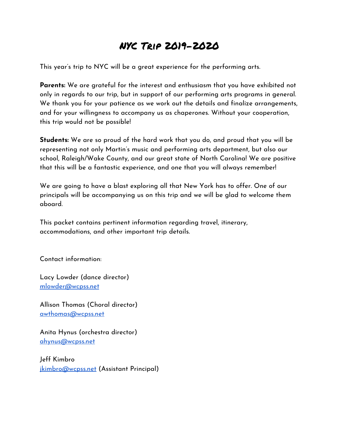# NYC Trip 2019-2020

This year's trip to NYC will be a great experience for the performing arts.

**Parents:** We are grateful for the interest and enthusiasm that you have exhibited not only in regards to our trip, but in support of our performing arts programs in general. We thank you for your patience as we work out the details and finalize arrangements, and for your willingness to accompany us as chaperones. Without your cooperation, this trip would not be possible!

**Students:** We are so proud of the hard work that you do, and proud that you will be representing not only Martin's music and performing arts department, but also our school, Raleigh/Wake County, and our great state of North Carolina! We are positive that this will be a fantastic experience, and one that you will always remember!

We are going to have a blast exploring all that New York has to offer. One of our principals will be accompanying us on this trip and we will be glad to welcome them aboard.

This packet contains pertinent information regarding travel, itinerary, accommodations, and other important trip details.

Contact information:

Lacy Lowder (dance director) [mlowder@wcpss.net](mailto:mlowder@wcpss.net)

Allison Thomas (Choral director) [awthomas@wcpss.net](mailto:awthomas@wcpss.net)

Anita Hynus (orchestra director) [ahynus@wcpss.net](mailto:ahynus@wcpss.net)

Jeff Kimbro [jkimbro@wcpss.net](mailto:jkimbro@wcpss.net) (Assistant Principal)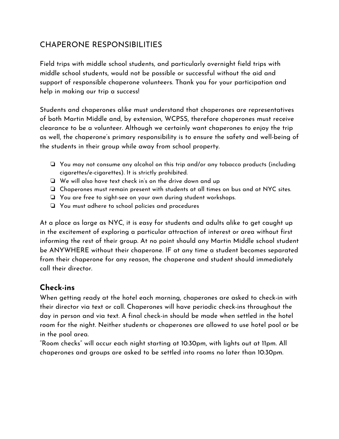# CHAPERONE RESPONSIBILITIES

Field trips with middle school students, and particularly overnight field trips with middle school students, would not be possible or successful without the aid and support of responsible chaperone volunteers. Thank you for your participation and help in making our trip a success!

Students and chaperones alike must understand that chaperones are representatives of both Martin Middle and, by extension, WCPSS, therefore chaperones must receive clearance to be a volunteer. Although we certainly want chaperones to enjoy the trip as well, the chaperone's primary responsibility is to ensure the safety and well-being of the students in their group while away from school property.

- ❏ You may not consume any alcohol on this trip and/or any tobacco products (including cigarettes/e-cigarettes). It is strictly prohibited.
- ❏ We will also have text check in's on the drive down and up
- ❏ Chaperones must remain present with students at all times on bus and at NYC sites.
- ❏ You are free to sight-see on your own during student workshops.
- ❏ You must adhere to school policies and procedures

At a place as large as NYC, it is easy for students and adults alike to get caught up in the excitement of exploring a particular attraction of interest or area without first informing the rest of their group. At no point should any Martin Middle school student be ANYWHERE without their chaperone. IF at any time a student becomes separated from their chaperone for any reason, the chaperone and student should immediately call their director.

# **Check-ins**

When getting ready at the hotel each morning, chaperones are asked to check-in with their director via text or call. Chaperones will have periodic check-ins throughout the day in person and via text. A final check-in should be made when settled in the hotel room for the night. Neither students or chaperones are allowed to use hotel pool or be in the pool area.

"Room checks" will occur each night starting at 10:30pm, with lights out at 11pm. All chaperones and groups are asked to be settled into rooms no later than 10:30pm.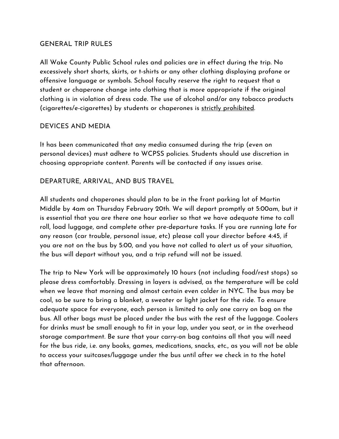#### GENERAL TRIP RULES

All Wake County Public School rules and policies are in effect during the trip. No excessively short shorts, skirts, or t-shirts or any other clothing displaying profane or offensive language or symbols. School faculty reserve the right to request that a student or chaperone change into clothing that is more appropriate if the original clothing is in violation of dress code. The use of alcohol and/or any tobacco products (cigarettes/e-cigarettes) by students or chaperones is strictly prohibited.

#### DEVICES AND MEDIA

It has been communicated that any media consumed during the trip (even on personal devices) must adhere to WCPSS policies. Students should use discretion in choosing appropriate content. Parents will be contacted if any issues arise.

#### DEPARTURE, ARRIVAL, AND BUS TRAVEL

All students and chaperones should plan to be in the front parking lot of Martin Middle by 4am on Thursday February 20th. We will depart promptly at 5:00am, but it is essential that you are there one hour earlier so that we have adequate time to call roll, load luggage, and complete other pre-departure tasks. If you are running late for any reason (car trouble, personal issue, etc) please call your director before 4:45, if you are not on the bus by 5:00, and you have not called to alert us of your situation, the bus will depart without you, and a trip refund will not be issued.

The trip to New York will be approximately 10 hours (not including food/rest stops) so please dress comfortably. Dressing in layers is advised, as the temperature will be cold when we leave that morning and almost certain even colder in NYC. The bus may be cool, so be sure to bring a blanket, a sweater or light jacket for the ride. To ensure adequate space for everyone, each person is limited to only one carry on bag on the bus. All other bags must be placed under the bus with the rest of the luggage. Coolers for drinks must be small enough to fit in your lap, under you seat, or in the overhead storage compartment. Be sure that your carry-on bag contains all that you will need for the bus ride, i.e. any books, games, medications, snacks, etc., as you will not be able to access your suitcases/luggage under the bus until after we check in to the hotel that afternoon.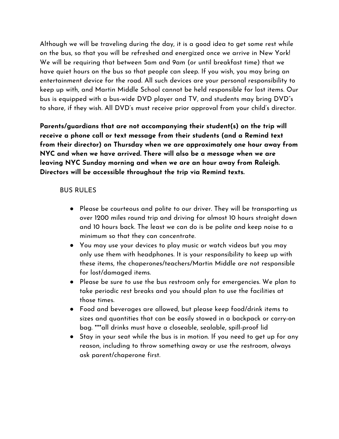Although we will be traveling during the day, it is a good idea to get some rest while on the bus, so that you will be refreshed and energized once we arrive in New York! We will be requiring that between 5am and 9am (or until breakfast time) that we have quiet hours on the bus so that people can sleep. If you wish, you may bring an entertainment device for the road. All such devices are your personal responsibility to keep up with, and Martin Middle School cannot be held responsible for lost items. Our bus is equipped with a bus-wide DVD player and TV, and students may bring DVD"s to share, if they wish. All DVD's must receive prior approval from your child's director.

**Parents/guardians that are not accompanying their student(s) on the trip will receive a phone call or text message from their students (and a Remind text from their director) on Thursday when we are approximately one hour away from NYC and when we have arrived. There will also be a message when we are leaving NYC Sunday morning and when we are an hour away from Raleigh. Directors will be accessible throughout the trip via Remind texts.**

#### BUS RULES

- Please be courteous and polite to our driver. They will be transporting us over 1200 miles round trip and driving for almost 10 hours straight down and 10 hours back. The least we can do is be polite and keep noise to a minimum so that they can concentrate.
- You may use your devices to play music or watch videos but you may only use them with headphones. It is your responsibility to keep up with these items, the chaperones/teachers/Martin Middle are not responsible for lost/damaged items.
- Please be sure to use the bus restroom only for emergencies. We plan to take periodic rest breaks and you should plan to use the facilities at those times.
- Food and beverages are allowed, but please keep food/drink items to sizes and quantities that can be easily stowed in a backpack or carry-on bag. \*\*\*all drinks must have a closeable, sealable, spill-proof lid
- Stay in your seat while the bus is in motion. If you need to get up for any reason, including to throw something away or use the restroom, always ask parent/chaperone first.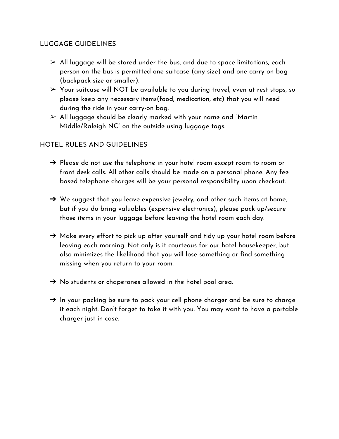## LUGGAGE GUIDELINES

- $\triangleright$  All luggage will be stored under the bus, and due to space limitations, each person on the bus is permitted one suitcase (any size) and one carry-on bag (backpack size or smaller).
- $\triangleright$  Your suitcase will NOT be available to you during travel, even at rest stops, so please keep any necessary items(food, medication, etc) that you will need during the ride in your carry-on bag.
- $\triangleright$  All luggage should be clearly marked with your name and "Martin" Middle/Raleigh NC" on the outside using luggage tags.

## HOTEL RULES AND GUIDELINES

- $\rightarrow$  Please do not use the telephone in your hotel room except room to room or front desk calls. All other calls should be made on a personal phone. Any fee based telephone charges will be your personal responsibility upon checkout.
- $\rightarrow$  We suggest that you leave expensive jewelry, and other such items at home, but if you do bring valuables (expensive electronics), please pack up/secure those items in your luggage before leaving the hotel room each day.
- $\rightarrow$  Make every effort to pick up after yourself and tidy up your hotel room before leaving each morning. Not only is it courteous for our hotel housekeeper, but also minimizes the likelihood that you will lose something or find something missing when you return to your room.
- $\rightarrow$  No students or chaperones allowed in the hotel pool area.
- $\rightarrow$  In your packing be sure to pack your cell phone charger and be sure to charge it each night. Don't forget to take it with you. You may want to have a portable charger just in case.